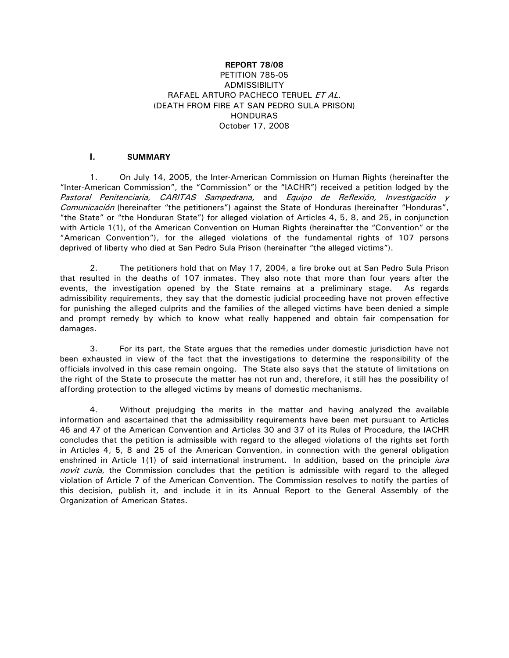## **REPORT 78/08** PETITION 785-05 **ADMISSIBILITY** RAFAEL ARTURO PACHECO TERUEL ET AL. (DEATH FROM FIRE AT SAN PEDRO SULA PRISON) HONDURAS October 17, 2008

## **I. SUMMARY**

1. On July 14, 2005, the Inter-American Commission on Human Rights (hereinafter the "Inter-American Commission", the "Commission" or the "IACHR") received a petition lodged by the Pastoral Penitenciaria, CARITAS Sampedrana, and Equipo de Reflexión, Investigación y Comunicación (hereinafter "the petitioners") against the State of Honduras (hereinafter "Honduras", "the State" or "the Honduran State") for alleged violation of Articles 4, 5, 8, and 25, in conjunction with Article 1(1), of the American Convention on Human Rights (hereinafter the "Convention" or the "American Convention"), for the alleged violations of the fundamental rights of 107 persons deprived of liberty who died at San Pedro Sula Prison (hereinafter "the alleged victims").

2. The petitioners hold that on May 17, 2004, a fire broke out at San Pedro Sula Prison that resulted in the deaths of 107 inmates. They also note that more than four years after the events, the investigation opened by the State remains at a preliminary stage. As regards admissibility requirements, they say that the domestic judicial proceeding have not proven effective for punishing the alleged culprits and the families of the alleged victims have been denied a simple and prompt remedy by which to know what really happened and obtain fair compensation for damages.

3. For its part, the State argues that the remedies under domestic jurisdiction have not been exhausted in view of the fact that the investigations to determine the responsibility of the officials involved in this case remain ongoing. The State also says that the statute of limitations on the right of the State to prosecute the matter has not run and, therefore, it still has the possibility of affording protection to the alleged victims by means of domestic mechanisms.

4. Without prejudging the merits in the matter and having analyzed the available information and ascertained that the admissibility requirements have been met pursuant to Articles 46 and 47 of the American Convention and Articles 30 and 37 of its Rules of Procedure, the IACHR concludes that the petition is admissible with regard to the alleged violations of the rights set forth in Articles 4, 5, 8 and 25 of the American Convention, in connection with the general obligation enshrined in Article 1(1) of said international instrument. In addition, based on the principle *iura* novit curia, the Commission concludes that the petition is admissible with regard to the alleged violation of Article 7 of the American Convention. The Commission resolves to notify the parties of this decision, publish it, and include it in its Annual Report to the General Assembly of the Organization of American States.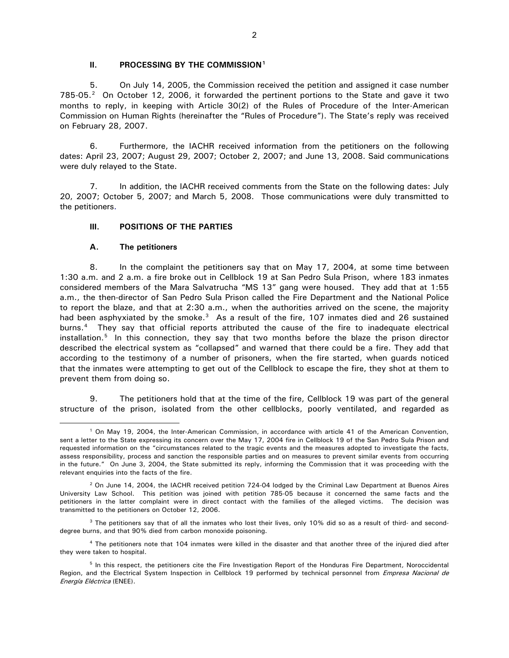#### **II. PROCESSING BY THE COMMISSION[1](#page-1-0)**

5. On July 14, 2005, the Commission received the petition and assigned it case number 785-05.<sup>[2](#page-1-1)</sup> On October 12, 2006, it forwarded the pertinent portions to the State and gave it two months to reply, in keeping with Article 30(2) of the Rules of Procedure of the Inter-American Commission on Human Rights (hereinafter the "Rules of Procedure"). The State's reply was received on February 28, 2007.

6. Furthermore, the IACHR received information from the petitioners on the following dates: April 23, 2007; August 29, 2007; October 2, 2007; and June 13, 2008. Said communications were duly relayed to the State.

7. In addition, the IACHR received comments from the State on the following dates: July 20, 2007; October 5, 2007; and March 5, 2008. Those communications were duly transmitted to the petitioners.

### **III. POSITIONS OF THE PARTIES**

### **A. The petitioners**

 $\overline{a}$ 

8. In the complaint the petitioners say that on May 17, 2004, at some time between 1:30 a.m. and 2 a.m. a fire broke out in Cellblock 19 at San Pedro Sula Prison, where 183 inmates considered members of the Mara Salvatrucha "MS 13" gang were housed. They add that at 1:55 a.m., the then-director of San Pedro Sula Prison called the Fire Department and the National Police to report the blaze, and that at 2:30 a.m., when the authorities arrived on the scene, the majority had been asphyxiated by the smoke. $3\overline{)}$  $3\overline{)}$  As a result of the fire, 107 inmates died and 26 sustained burns.[4](#page-1-3) They say that official reports attributed the cause of the fire to inadequate electrical installation.<sup>[5](#page-1-4)</sup> In this connection, they say that two months before the blaze the prison director described the electrical system as "collapsed" and warned that there could be a fire. They add that according to the testimony of a number of prisoners, when the fire started, when guards noticed that the inmates were attempting to get out of the Cellblock to escape the fire, they shot at them to prevent them from doing so.

9. The petitioners hold that at the time of the fire, Cellblock 19 was part of the general structure of the prison, isolated from the other cellblocks, poorly ventilated, and regarded as

<span id="page-1-0"></span><sup>1</sup> On May 19, 2004, the Inter-American Commission, in accordance with article 41 of the American Convention, sent a letter to the State expressing its concern over the May 17, 2004 fire in Cellblock 19 of the San Pedro Sula Prison and requested information on the "circumstances related to the tragic events and the measures adopted to investigate the facts, assess responsibility, process and sanction the responsible parties and on measures to prevent similar events from occurring in the future." On June 3, 2004, the State submitted its reply, informing the Commission that it was proceeding with the relevant enquiries into the facts of the fire.

<span id="page-1-1"></span> $2$  On June 14, 2004, the IACHR received petition 724-04 lodged by the Criminal Law Department at Buenos Aires University Law School. This petition was joined with petition 785-05 because it concerned the same facts and the petitioners in the latter complaint were in direct contact with the families of the alleged victims. The decision was transmitted to the petitioners on October 12, 2006.

<span id="page-1-2"></span><sup>&</sup>lt;sup>3</sup> The petitioners say that of all the inmates who lost their lives, only 10% did so as a result of third- and seconddegree burns, and that 90% died from carbon monoxide poisoning.

<span id="page-1-3"></span><sup>4</sup> The petitioners note that 104 inmates were killed in the disaster and that another three of the injured died after they were taken to hospital.

<span id="page-1-4"></span><sup>&</sup>lt;sup>5</sup> In this respect, the petitioners cite the Fire Investigation Report of the Honduras Fire Department, Noroccidental Region, and the Electrical System Inspection in Cellblock 19 performed by technical personnel from Empresa Nacional de Energía Eléctrica (ENEE).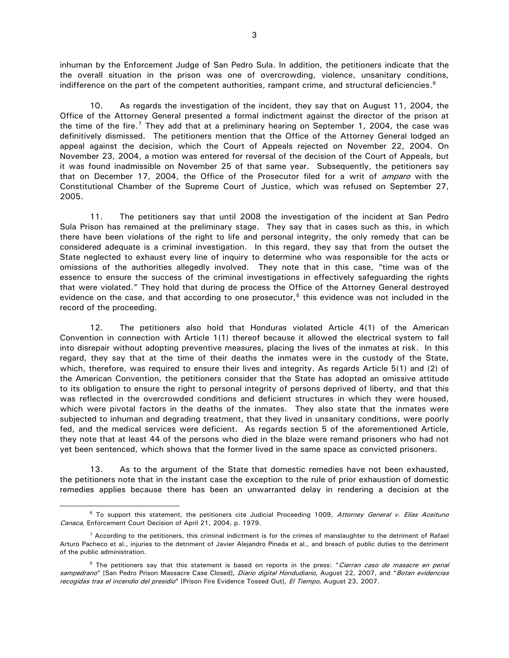inhuman by the Enforcement Judge of San Pedro Sula. In addition, the petitioners indicate that the the overall situation in the prison was one of overcrowding, violence, unsanitary conditions, indifference on the part of the competent authorities, rampant crime, and structural deficiencies.<sup>[6](#page-2-0)</sup>

10. As regards the investigation of the incident, they say that on August 11, 2004, the Office of the Attorney General presented a formal indictment against the director of the prison at the time of the fire.<sup>7</sup> They add that at a preliminary hearing on September 1, 2004, the case was definitively dismissed. The petitioners mention that the Office of the Attorney General lodged an appeal against the decision, which the Court of Appeals rejected on November 22, 2004. On November 23, 2004, a motion was entered for reversal of the decision of the Court of Appeals, but it was found inadmissible on November 25 of that same year. Subsequently, the petitioners say that on December 17, 2004, the Office of the Prosecutor filed for a writ of *amparo* with the Constitutional Chamber of the Supreme Court of Justice, which was refused on September 27, 2005.

11. The petitioners say that until 2008 the investigation of the incident at San Pedro Sula Prison has remained at the preliminary stage. They say that in cases such as this, in which there have been violations of the right to life and personal integrity, the only remedy that can be considered adequate is a criminal investigation. In this regard, they say that from the outset the State neglected to exhaust every line of inquiry to determine who was responsible for the acts or omissions of the authorities allegedly involved. They note that in this case, "time was of the essence to ensure the success of the criminal investigations in effectively safeguarding the rights that were violated." They hold that during de process the Office of the Attorney General destroyed evidence on the case, and that according to one prosecutor, $8$  this evidence was not included in the record of the proceeding.

12. The petitioners also hold that Honduras violated Article 4(1) of the American Convention in connection with Article 1(1) thereof because it allowed the electrical system to fall into disrepair without adopting preventive measures, placing the lives of the inmates at risk. In this regard, they say that at the time of their deaths the inmates were in the custody of the State, which, therefore, was required to ensure their lives and integrity. As regards Article 5(1) and (2) of the American Convention, the petitioners consider that the State has adopted an omissive attitude to its obligation to ensure the right to personal integrity of persons deprived of liberty, and that this was reflected in the overcrowded conditions and deficient structures in which they were housed, which were pivotal factors in the deaths of the inmates. They also state that the inmates were subjected to inhuman and degrading treatment, that they lived in unsanitary conditions, were poorly fed, and the medical services were deficient. As regards section 5 of the aforementioned Article, they note that at least 44 of the persons who died in the blaze were remand prisoners who had not yet been sentenced, which shows that the former lived in the same space as convicted prisoners.

13. As to the argument of the State that domestic remedies have not been exhausted, the petitioners note that in the instant case the exception to the rule of prior exhaustion of domestic remedies applies because there has been an unwarranted delay in rendering a decision at the

<span id="page-2-0"></span><sup>&</sup>lt;sup>6</sup> To support this statement, the petitioners cite Judicial Proceeding 1009, Attorney General v. Elías Aceituno Canaca, Enforcement Court Decision of April 21, 2004, p. 1979.

<span id="page-2-1"></span> $7$  According to the petitioners, this criminal indictment is for the crimes of manslaughter to the detriment of Rafael Arturo Pacheco et al., injuries to the detriment of Javier Alejandro Pineda et al., and breach of public duties to the detriment of the public administration.

<span id="page-2-2"></span><sup>&</sup>lt;sup>8</sup> The petitioners say that this statement is based on reports in the press: "Cierran caso de masacre en penal sampedrano" [San Pedro Prison Massacre Case Closed], Diario digital Hondudiario, August 22, 2007, and "Botan evidencias recogidas tras el incendio del presidio" [Prison Fire Evidence Tossed Out], El Tiempo, August 23, 2007.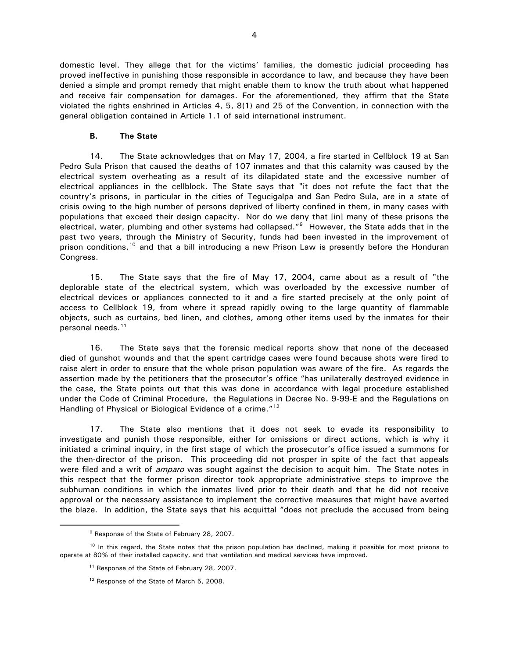domestic level. They allege that for the victims' families, the domestic judicial proceeding has proved ineffective in punishing those responsible in accordance to law, and because they have been denied a simple and prompt remedy that might enable them to know the truth about what happened and receive fair compensation for damages. For the aforementioned, they affirm that the State violated the rights enshrined in Articles 4, 5, 8(1) and 25 of the Convention, in connection with the general obligation contained in Article 1.1 of said international instrument.

### **B. The State**

14. The State acknowledges that on May 17, 2004, a fire started in Cellblock 19 at San Pedro Sula Prison that caused the deaths of 107 inmates and that this calamity was caused by the electrical system overheating as a result of its dilapidated state and the excessive number of electrical appliances in the cellblock. The State says that "it does not refute the fact that the country's prisons, in particular in the cities of Tegucigalpa and San Pedro Sula, are in a state of crisis owing to the high number of persons deprived of liberty confined in them, in many cases with populations that exceed their design capacity. Nor do we deny that [in] many of these prisons the electrical, water, plumbing and other systems had collapsed."[9](#page-3-0) However, the State adds that in the past two years, through the Ministry of Security, funds had been invested in the improvement of prison conditions,<sup>[10](#page-3-1)</sup> and that a bill introducing a new Prison Law is presently before the Honduran Congress.

15. The State says that the fire of May 17, 2004, came about as a result of "the deplorable state of the electrical system, which was overloaded by the excessive number of electrical devices or appliances connected to it and a fire started precisely at the only point of access to Cellblock 19, from where it spread rapidly owing to the large quantity of flammable objects, such as curtains, bed linen, and clothes, among other items used by the inmates for their personal needs.<sup>[11](#page-3-2)</sup>

16. The State says that the forensic medical reports show that none of the deceased died of gunshot wounds and that the spent cartridge cases were found because shots were fired to raise alert in order to ensure that the whole prison population was aware of the fire. As regards the assertion made by the petitioners that the prosecutor's office "has unilaterally destroyed evidence in the case, the State points out that this was done in accordance with legal procedure established under the Code of Criminal Procedure, the Regulations in Decree No. 9-99-E and the Regulations on Handling of Physical or Biological Evidence of a crime."<sup>[12](#page-3-3)</sup>

17. The State also mentions that it does not seek to evade its responsibility to investigate and punish those responsible, either for omissions or direct actions, which is why it initiated a criminal inquiry, in the first stage of which the prosecutor's office issued a summons for the then-director of the prison. This proceeding did not prosper in spite of the fact that appeals were filed and a writ of *amparo* was sought against the decision to acquit him. The State notes in this respect that the former prison director took appropriate administrative steps to improve the subhuman conditions in which the inmates lived prior to their death and that he did not receive approval or the necessary assistance to implement the corrective measures that might have averted the blaze. In addition, the State says that his acquittal "does not preclude the accused from being

<sup>9</sup> Response of the State of February 28, 2007.

<span id="page-3-3"></span><span id="page-3-2"></span><span id="page-3-1"></span><span id="page-3-0"></span><sup>&</sup>lt;sup>10</sup> In this regard, the State notes that the prison population has declined, making it possible for most prisons to operate at 80% of their installed capacity, and that ventilation and medical services have improved.

<sup>&</sup>lt;sup>11</sup> Response of the State of February 28, 2007.

<sup>&</sup>lt;sup>12</sup> Response of the State of March 5, 2008.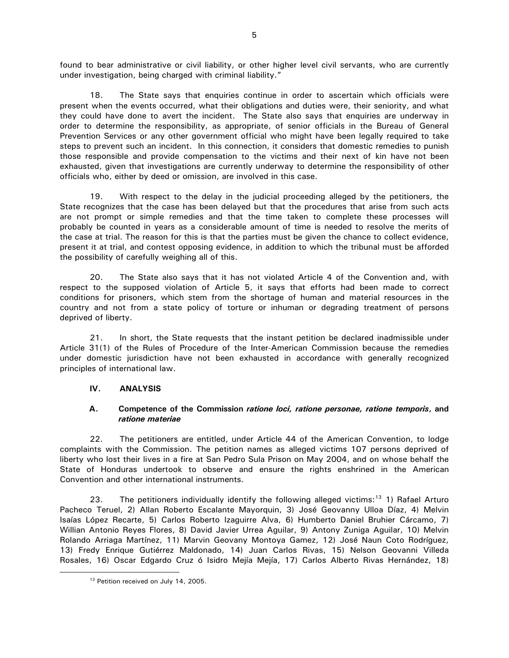found to bear administrative or civil liability, or other higher level civil servants, who are currently under investigation, being charged with criminal liability."

18. The State says that enquiries continue in order to ascertain which officials were present when the events occurred, what their obligations and duties were, their seniority, and what they could have done to avert the incident. The State also says that enquiries are underway in order to determine the responsibility, as appropriate, of senior officials in the Bureau of General Prevention Services or any other government official who might have been legally required to take steps to prevent such an incident. In this connection, it considers that domestic remedies to punish those responsible and provide compensation to the victims and their next of kin have not been exhausted, given that investigations are currently underway to determine the responsibility of other officials who, either by deed or omission, are involved in this case.

19. With respect to the delay in the judicial proceeding alleged by the petitioners, the State recognizes that the case has been delayed but that the procedures that arise from such acts are not prompt or simple remedies and that the time taken to complete these processes will probably be counted in years as a considerable amount of time is needed to resolve the merits of the case at trial. The reason for this is that the parties must be given the chance to collect evidence, present it at trial, and contest opposing evidence, in addition to which the tribunal must be afforded the possibility of carefully weighing all of this.

20. The State also says that it has not violated Article 4 of the Convention and, with respect to the supposed violation of Article 5, it says that efforts had been made to correct conditions for prisoners, which stem from the shortage of human and material resources in the country and not from a state policy of torture or inhuman or degrading treatment of persons deprived of liberty.

21. In short, the State requests that the instant petition be declared inadmissible under Article 31(1) of the Rules of Procedure of the Inter-American Commission because the remedies under domestic jurisdiction have not been exhausted in accordance with generally recognized principles of international law.

# **IV. ANALYSIS**

# **A. Competence of the Commission** *ratione loci, ratione personae, ratione temporis***, and**  *ratione materiae*

22. The petitioners are entitled, under Article 44 of the American Convention, to lodge complaints with the Commission. The petition names as alleged victims 107 persons deprived of liberty who lost their lives in a fire at San Pedro Sula Prison on May 2004, and on whose behalf the State of Honduras undertook to observe and ensure the rights enshrined in the American Convention and other international instruments.

23. The petitioners individually identify the following alleged victims:<sup>[13](#page-4-0)</sup> 1) Rafael Arturo Pacheco Teruel, 2) Allan Roberto Escalante Mayorquin, 3) José Geovanny Ulloa Díaz, 4) Melvin Isaías López Recarte, 5) Carlos Roberto Izaguirre Alva, 6) Humberto Daniel Bruhier Cárcamo, 7) Willian Antonio Reyes Flores, 8) David Javier Urrea Aguilar, 9) Antony Zuniga Aguilar, 10) Melvin Rolando Arriaga Martínez, 11) Marvin Geovany Montoya Gamez, 12) José Naun Coto Rodríguez, 13) Fredy Enrique Gutiérrez Maldonado, 14) Juan Carlos Rivas, 15) Nelson Geovanni Villeda Rosales, 16) Oscar Edgardo Cruz ó Isidro Mejía Mejía, 17) Carlos Alberto Rivas Hernández, 18)

<span id="page-4-0"></span><sup>&</sup>lt;sup>13</sup> Petition received on July 14, 2005.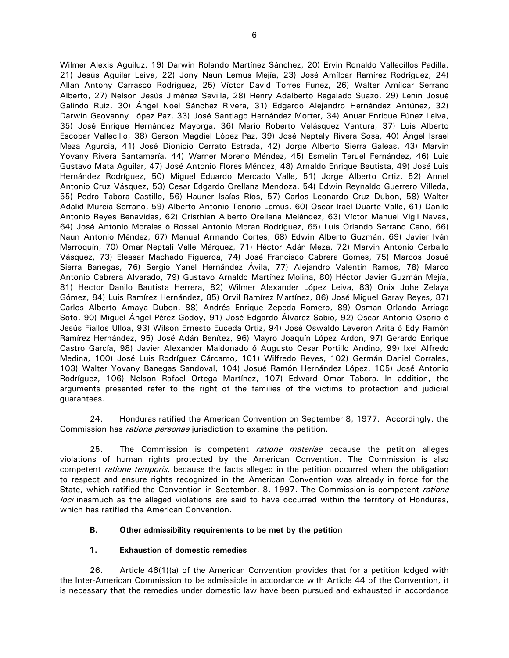Wilmer Alexis Aguiluz, 19) Darwin Rolando Martínez Sánchez, 20) Ervin Ronaldo Vallecillos Padilla, 21) Jesús Aguilar Leiva, 22) Jony Naun Lemus Mejía, 23) José Amílcar Ramírez Rodríguez, 24) Allan Antony Carrasco Rodríguez, 25) Víctor David Torres Funez, 26) Walter Amílcar Serrano Alberto, 27) Nelson Jesús Jiménez Sevilla, 28) Henry Adalberto Regalado Suazo, 29) Lenin Josué Galindo Ruiz, 30) Ángel Noel Sánchez Rivera, 31) Edgardo Alejandro Hernández Antúnez, 32) Darwin Geovanny López Paz, 33) José Santiago Hernández Morter, 34) Anuar Enrique Fúnez Leiva, 35) José Enrique Hernández Mayorga, 36) Mario Roberto Velásquez Ventura, 37) Luis Alberto

Escobar Vallecillo, 38) Gerson Magdiel López Paz, 39) José Neptaly Rivera Sosa, 40) Ángel Israel Meza Agurcia, 41) José Dionicio Cerrato Estrada, 42) Jorge Alberto Sierra Galeas, 43) Marvin Yovany Rivera Santamaría, 44) Warner Moreno Méndez, 45) Esmelin Teruel Fernández, 46) Luis Gustavo Mata Aguilar, 47) José Antonio Flores Méndez, 48) Arnaldo Enrique Bautista, 49) José Luis Hernández Rodríguez, 50) Miguel Eduardo Mercado Valle, 51) Jorge Alberto Ortiz, 52) Annel Antonio Cruz Vásquez, 53) Cesar Edgardo Orellana Mendoza, 54) Edwin Reynaldo Guerrero Villeda, 55) Pedro Tabora Castillo, 56) Hauner Isaías Ríos, 57) Carlos Leonardo Cruz Dubon, 58) Walter Adalid Murcia Serrano, 59) Alberto Antonio Tenorio Lemus, 60) Oscar Irael Duarte Valle, 61) Danilo Antonio Reyes Benavides, 62) Cristhian Alberto Orellana Meléndez, 63) Víctor Manuel Vigil Navas, 64) José Antonio Morales ó Rossel Antonio Moran Rodríguez, 65) Luis Orlando Serrano Cano, 66) Naun Antonio Méndez, 67) Manuel Armando Cortes, 68) Edwin Alberto Guzmán, 69) Javier Iván Marroquín, 70) Omar Neptalí Valle Márquez, 71) Héctor Adán Meza, 72) Marvin Antonio Carballo Vásquez, 73) Eleasar Machado Figueroa, 74) José Francisco Cabrera Gomes, 75) Marcos Josué Sierra Banegas, 76) Sergio Yanel Hernández Ávila, 77) Alejandro Valentín Ramos, 78) Marco Antonio Cabrera Alvarado, 79) Gustavo Arnaldo Martínez Molina, 80) Héctor Javier Guzmán Mejía, 81) Hector Danilo Bautista Herrera, 82) Wilmer Alexander López Leiva, 83) Onix Johe Zelaya Gómez, 84) Luis Ramírez Hernández, 85) Orvil Ramírez Martínez, 86) José Miguel Garay Reyes, 87) Carlos Alberto Amaya Dubon, 88) Andrés Enrique Zepeda Romero, 89) Osman Orlando Arriaga Soto, 90) Miguel Ángel Pérez Godoy, 91) José Edgardo Álvarez Sabio, 92) Oscar Antonio Osorio ó Jesús Fiallos Ulloa, 93) Wilson Ernesto Euceda Ortiz, 94) José Oswaldo Leveron Arita ó Edy Ramón Ramírez Hernández, 95) José Adán Benítez, 96) Mayro Joaquín López Ardon, 97) Gerardo Enrique Castro García, 98) Javier Alexander Maldonado ó Augusto Cesar Portillo Andino, 99) Ixel Alfredo Medina, 100) José Luis Rodríguez Cárcamo, 101) Wilfredo Reyes, 102) Germán Daniel Corrales, 103) Walter Yovany Banegas Sandoval, 104) Josué Ramón Hernández López, 105) José Antonio Rodríguez, 106) Nelson Rafael Ortega Martínez, 107) Edward Omar Tabora. In addition, the arguments presented refer to the right of the families of the victims to protection and judicial guarantees.

24. Honduras ratified the American Convention on September 8, 1977. Accordingly, the Commission has *ratione personae* jurisdiction to examine the petition.

25. The Commission is competent *ratione materiae* because the petition alleges violations of human rights protected by the American Convention. The Commission is also competent *ratione temporis*, because the facts alleged in the petition occurred when the obligation to respect and ensure rights recognized in the American Convention was already in force for the State, which ratified the Convention in September, 8, 1997. The Commission is competent ratione loci inasmuch as the alleged violations are said to have occurred within the territory of Honduras, which has ratified the American Convention.

# **B. Other admissibility requirements to be met by the petition**

# **1. Exhaustion of domestic remedies**

26. Article 46(1)(a) of the American Convention provides that for a petition lodged with the Inter-American Commission to be admissible in accordance with Article 44 of the Convention, it is necessary that the remedies under domestic law have been pursued and exhausted in accordance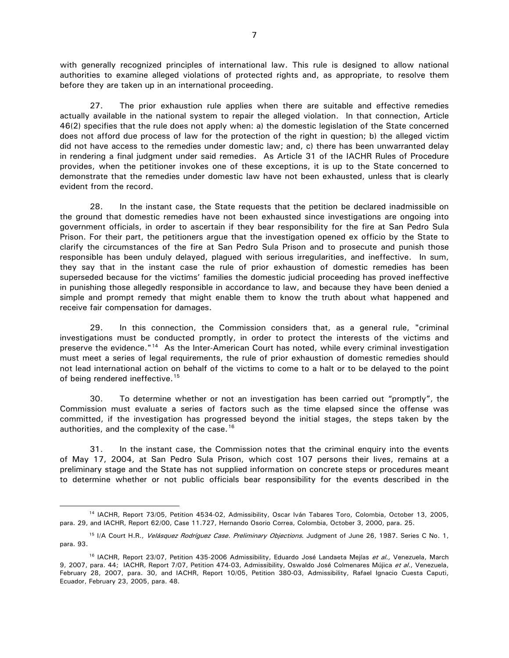with generally recognized principles of international law. This rule is designed to allow national authorities to examine alleged violations of protected rights and, as appropriate, to resolve them before they are taken up in an international proceeding.

27. The prior exhaustion rule applies when there are suitable and effective remedies actually available in the national system to repair the alleged violation. In that connection, Article 46(2) specifies that the rule does not apply when: a) the domestic legislation of the State concerned does not afford due process of law for the protection of the right in question; b) the alleged victim did not have access to the remedies under domestic law; and, c) there has been unwarranted delay in rendering a final judgment under said remedies. As Article 31 of the IACHR Rules of Procedure provides, when the petitioner invokes one of these exceptions, it is up to the State concerned to demonstrate that the remedies under domestic law have not been exhausted, unless that is clearly evident from the record.

28. In the instant case, the State requests that the petition be declared inadmissible on the ground that domestic remedies have not been exhausted since investigations are ongoing into government officials, in order to ascertain if they bear responsibility for the fire at San Pedro Sula Prison. For their part, the petitioners argue that the investigation opened ex officio by the State to clarify the circumstances of the fire at San Pedro Sula Prison and to prosecute and punish those responsible has been unduly delayed, plagued with serious irregularities, and ineffective. In sum, they say that in the instant case the rule of prior exhaustion of domestic remedies has been superseded because for the victims' families the domestic judicial proceeding has proved ineffective in punishing those allegedly responsible in accordance to law, and because they have been denied a simple and prompt remedy that might enable them to know the truth about what happened and receive fair compensation for damages.

29. In this connection, the Commission considers that, as a general rule, "criminal investigations must be conducted promptly, in order to protect the interests of the victims and preserve the evidence."<sup>[14](#page-6-0)</sup> As the Inter-American Court has noted, while every criminal investigation must meet a series of legal requirements, the rule of prior exhaustion of domestic remedies should not lead international action on behalf of the victims to come to a halt or to be delayed to the point of being rendered ineffective.<sup>[15](#page-6-1)</sup>

30. To determine whether or not an investigation has been carried out "promptly", the Commission must evaluate a series of factors such as the time elapsed since the offense was committed, if the investigation has progressed beyond the initial stages, the steps taken by the authorities, and the complexity of the case.<sup>[16](#page-6-2)</sup>

31. In the instant case, the Commission notes that the criminal enquiry into the events of May 17, 2004, at San Pedro Sula Prison, which cost 107 persons their lives, remains at a preliminary stage and the State has not supplied information on concrete steps or procedures meant to determine whether or not public officials bear responsibility for the events described in the

<span id="page-6-0"></span><sup>14</sup> IACHR, Report 73/05, Petition 4534-02, Admissibility, Oscar Iván Tabares Toro, Colombia, October 13, 2005, para. 29, and IACHR, Report 62/00, Case 11.727, Hernando Osorio Correa, Colombia, October 3, 2000, para. 25.

<span id="page-6-1"></span><sup>&</sup>lt;sup>15</sup> I/A Court H.R., Velásquez Rodríguez Case. Preliminary Objections. Judgment of June 26, 1987. Series C No. 1, para. 93.

<span id="page-6-2"></span><sup>&</sup>lt;sup>16</sup> IACHR, Report 23/07, Petition 435-2006 Admissibility, Eduardo José Landaeta Mejías et al., Venezuela, March 9, 2007, para. 44; IACHR, Report 7/07, Petition 474-03, Admissibility, Oswaldo José Colmenares Mújica et al., Venezuela, February 28, 2007, para. 30, and IACHR, Report 10/05, Petition 380-03, Admissibility, Rafael Ignacio Cuesta Caputi, Ecuador, February 23, 2005, para. 48.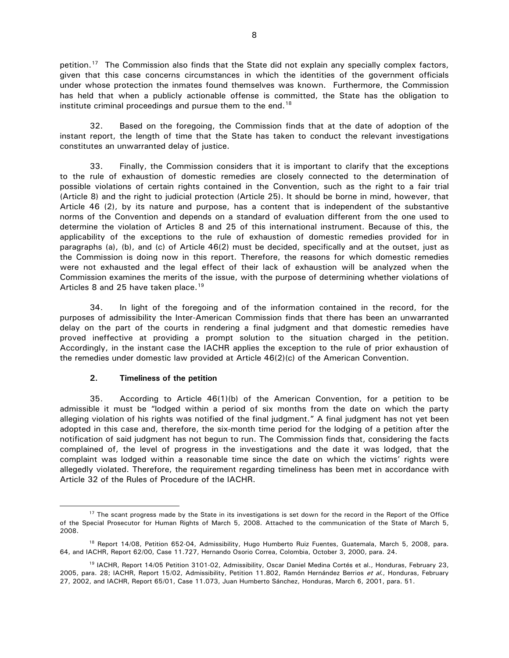petition.<sup>[17](#page-7-0)</sup> The Commission also finds that the State did not explain any specially complex factors, given that this case concerns circumstances in which the identities of the government officials under whose protection the inmates found themselves was known. Furthermore, the Commission has held that when a publicly actionable offense is committed, the State has the obligation to institute criminal proceedings and pursue them to the end.<sup>[18](#page-7-1)</sup>

32. Based on the foregoing, the Commission finds that at the date of adoption of the instant report, the length of time that the State has taken to conduct the relevant investigations constitutes an unwarranted delay of justice.

33. Finally, the Commission considers that it is important to clarify that the exceptions to the rule of exhaustion of domestic remedies are closely connected to the determination of possible violations of certain rights contained in the Convention, such as the right to a fair trial (Article 8) and the right to judicial protection (Article 25). It should be borne in mind, however, that Article 46 (2), by its nature and purpose, has a content that is independent of the substantive norms of the Convention and depends on a standard of evaluation different from the one used to determine the violation of Articles 8 and 25 of this international instrument. Because of this, the applicability of the exceptions to the rule of exhaustion of domestic remedies provided for in paragraphs (a), (b), and (c) of Article 46(2) must be decided, specifically and at the outset, just as the Commission is doing now in this report. Therefore, the reasons for which domestic remedies were not exhausted and the legal effect of their lack of exhaustion will be analyzed when the Commission examines the merits of the issue, with the purpose of determining whether violations of Articles 8 and 25 have taken place.<sup>[19](#page-7-2)</sup>

34. In light of the foregoing and of the information contained in the record, for the purposes of admissibility the Inter-American Commission finds that there has been an unwarranted delay on the part of the courts in rendering a final judgment and that domestic remedies have proved ineffective at providing a prompt solution to the situation charged in the petition. Accordingly, in the instant case the IACHR applies the exception to the rule of prior exhaustion of the remedies under domestic law provided at Article 46(2)(c) of the American Convention.

# **2. Timeliness of the petition**

 $\overline{a}$ 

35. According to Article 46(1)(b) of the American Convention, for a petition to be admissible it must be "lodged within a period of six months from the date on which the party alleging violation of his rights was notified of the final judgment." A final judgment has not yet been adopted in this case and, therefore, the six-month time period for the lodging of a petition after the notification of said judgment has not begun to run. The Commission finds that, considering the facts complained of, the level of progress in the investigations and the date it was lodged, that the complaint was lodged within a reasonable time since the date on which the victims' rights were allegedly violated. Therefore, the requirement regarding timeliness has been met in accordance with Article 32 of the Rules of Procedure of the IACHR.

<span id="page-7-0"></span><sup>&</sup>lt;sup>17</sup> The scant progress made by the State in its investigations is set down for the record in the Report of the Office of the Special Prosecutor for Human Rights of March 5, 2008. Attached to the communication of the State of March 5, 2008.

<span id="page-7-1"></span><sup>&</sup>lt;sup>18</sup> Report 14/08, Petition 652-04, Admissibility, Hugo Humberto Ruiz Fuentes, Guatemala, March 5, 2008, para. 64, and IACHR, Report 62/00, Case 11.727, Hernando Osorio Correa, Colombia, October 3, 2000, para. 24.

<span id="page-7-2"></span><sup>19</sup> IACHR, Report 14/05 Petition 3101-02, Admissibility, Oscar Daniel Medina Cortés et al., Honduras, February 23, 2005, para. 28; IACHR, Report 15/02, Admissibility, Petition 11.802, Ramón Hernández Berrios et al., Honduras, February 27, 2002, and IACHR, Report 65/01, Case 11.073, Juan Humberto Sánchez, Honduras, March 6, 2001, para. 51.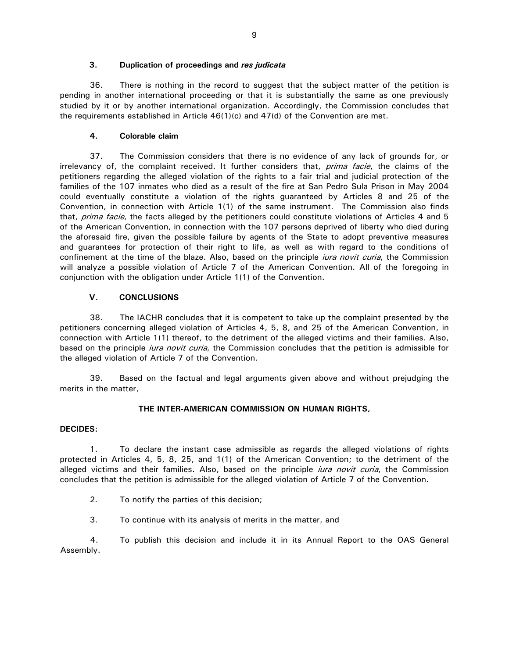### **3. Duplication of proceedings and** *res judicata*

36. There is nothing in the record to suggest that the subject matter of the petition is pending in another international proceeding or that it is substantially the same as one previously studied by it or by another international organization. Accordingly, the Commission concludes that the requirements established in Article 46(1)(c) and 47(d) of the Convention are met.

## **4. Colorable claim**

37. The Commission considers that there is no evidence of any lack of grounds for, or irrelevancy of, the complaint received. It further considers that, *prima facie*, the claims of the petitioners regarding the alleged violation of the rights to a fair trial and judicial protection of the families of the 107 inmates who died as a result of the fire at San Pedro Sula Prison in May 2004 could eventually constitute a violation of the rights guaranteed by Articles 8 and 25 of the Convention, in connection with Article 1(1) of the same instrument. The Commission also finds that, *prima facie*, the facts alleged by the petitioners could constitute violations of Articles 4 and 5 of the American Convention, in connection with the 107 persons deprived of liberty who died during the aforesaid fire, given the possible failure by agents of the State to adopt preventive measures and guarantees for protection of their right to life, as well as with regard to the conditions of confinement at the time of the blaze. Also, based on the principle *iura novit curia*, the Commission will analyze a possible violation of Article 7 of the American Convention. All of the foregoing in conjunction with the obligation under Article 1(1) of the Convention.

## **V. CONCLUSIONS**

38. The IACHR concludes that it is competent to take up the complaint presented by the petitioners concerning alleged violation of Articles 4, 5, 8, and 25 of the American Convention, in connection with Article 1(1) thereof, to the detriment of the alleged victims and their families. Also, based on the principle *iura novit curia*, the Commission concludes that the petition is admissible for the alleged violation of Article 7 of the Convention.

39. Based on the factual and legal arguments given above and without prejudging the merits in the matter,

### **THE INTER-AMERICAN COMMISSION ON HUMAN RIGHTS,**

### **DECIDES:**

1. To declare the instant case admissible as regards the alleged violations of rights protected in Articles 4, 5, 8, 25, and 1(1) of the American Convention; to the detriment of the alleged victims and their families. Also, based on the principle *iura novit curia*, the Commission concludes that the petition is admissible for the alleged violation of Article 7 of the Convention.

2. To notify the parties of this decision;

3. To continue with its analysis of merits in the matter, and

4. To publish this decision and include it in its Annual Report to the OAS General Assembly.